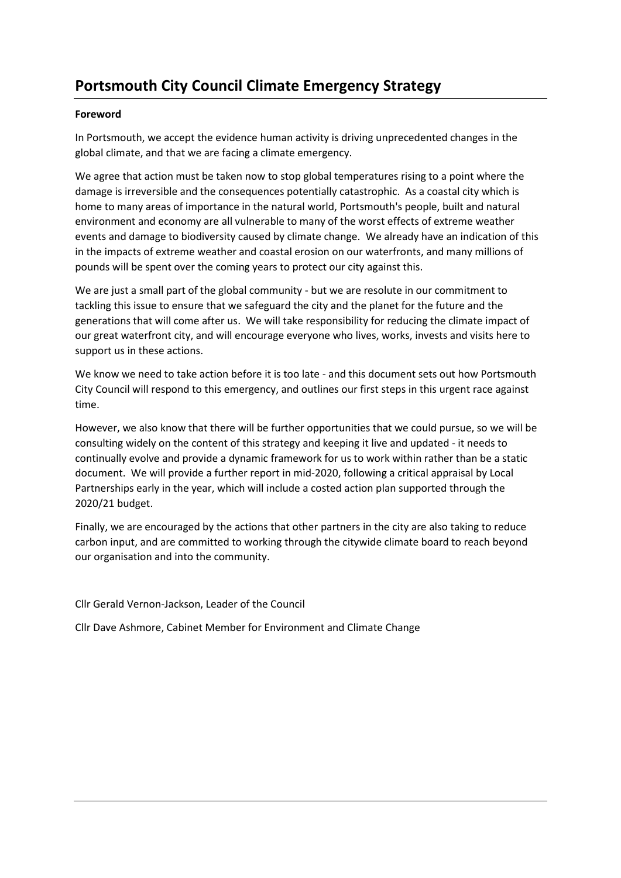# **Portsmouth City Council Climate Emergency Strategy**

# **Foreword**

In Portsmouth, we accept the evidence human activity is driving unprecedented changes in the global climate, and that we are facing a climate emergency.

We agree that action must be taken now to stop global temperatures rising to a point where the damage is irreversible and the consequences potentially catastrophic. As a coastal city which is home to many areas of importance in the natural world, Portsmouth's people, built and natural environment and economy are all vulnerable to many of the worst effects of extreme weather events and damage to biodiversity caused by climate change. We already have an indication of this in the impacts of extreme weather and coastal erosion on our waterfronts, and many millions of pounds will be spent over the coming years to protect our city against this.

We are just a small part of the global community - but we are resolute in our commitment to tackling this issue to ensure that we safeguard the city and the planet for the future and the generations that will come after us. We will take responsibility for reducing the climate impact of our great waterfront city, and will encourage everyone who lives, works, invests and visits here to support us in these actions.

We know we need to take action before it is too late - and this document sets out how Portsmouth City Council will respond to this emergency, and outlines our first steps in this urgent race against time.

However, we also know that there will be further opportunities that we could pursue, so we will be consulting widely on the content of this strategy and keeping it live and updated - it needs to continually evolve and provide a dynamic framework for us to work within rather than be a static document. We will provide a further report in mid-2020, following a critical appraisal by Local Partnerships early in the year, which will include a costed action plan supported through the 2020/21 budget.

Finally, we are encouraged by the actions that other partners in the city are also taking to reduce carbon input, and are committed to working through the citywide climate board to reach beyond our organisation and into the community.

Cllr Gerald Vernon-Jackson, Leader of the Council

Cllr Dave Ashmore, Cabinet Member for Environment and Climate Change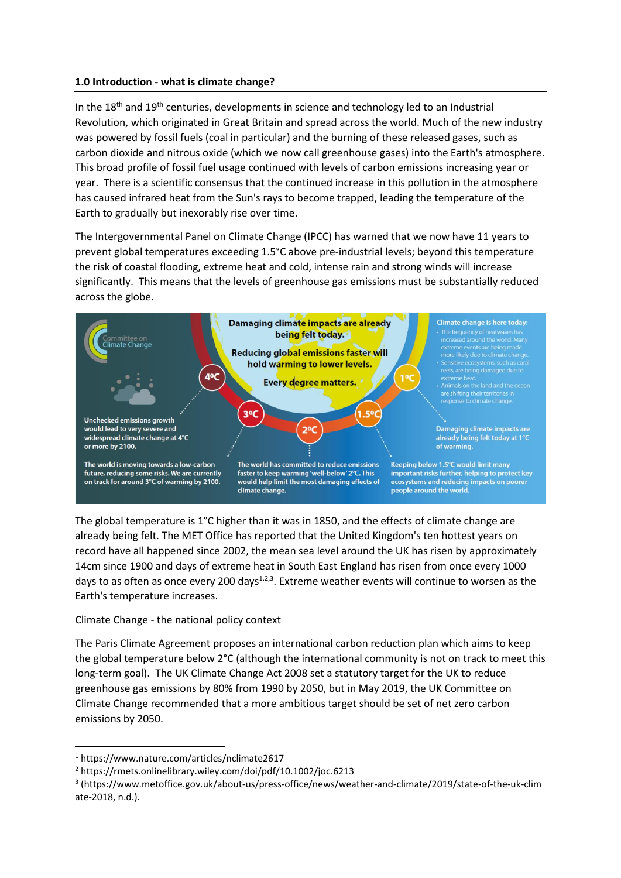# **1.0 Introduction - what is climate change?**

In the 18<sup>th</sup> and 19<sup>th</sup> centuries, developments in science and technology led to an Industrial Revolution, which originated in Great Britain and spread across the world. Much of the new industry was powered by fossil fuels (coal in particular) and the burning of these released gases, such as carbon dioxide and nitrous oxide (which we now call greenhouse gases) into the Earth's atmosphere. This broad profile of fossil fuel usage continued with levels of carbon emissions increasing year or year. There is a scientific consensus that the continued increase in this pollution in the atmosphere has caused infrared heat from the Sun's rays to become trapped, leading the temperature of the Earth to gradually but inexorably rise over time.

The Intergovernmental Panel on Climate Change (IPCC) has warned that we now have 11 years to prevent global temperatures exceeding 1.5°C above pre-industrial levels; beyond this temperature the risk of coastal flooding, extreme heat and cold, intense rain and strong winds will increase significantly. This means that the levels of greenhouse gas emissions must be substantially reduced across the globe.



The global temperature is 1°C higher than it was in 1850, and the effects of climate change are already being felt. The MET Office has reported that the United Kingdom's ten hottest years on record have all happened since 2002, the mean sea level around the UK has risen by approximately 14cm since 1900 and days of extreme heat in South East England has risen from once every 1000 days to as often as once every 200 days<sup>1,2,3</sup>. Extreme weather events will continue to worsen as the Earth's temperature increases.

# Climate Change - the national policy context

The Paris Climate Agreement proposes an international carbon reduction plan which aims to keep the global temperature below 2°C (although the international community is not on track to meet this long-term goal). The UK Climate Change Act 2008 set a statutory target for the UK to reduce greenhouse gas emissions by 80% from 1990 by 2050, but in May 2019, the UK Committee on Climate Change recommended that a more ambitious target should be set of net zero carbon emissions by 2050.

1

<sup>1</sup> https://www.nature.com/articles/nclimate2617

<sup>2</sup> https://rmets.onlinelibrary.wiley.com/doi/pdf/10.1002/joc.6213

<sup>3</sup> (https://www.metoffice.gov.uk/about-us/press-office/news/weather-and-climate/2019/state-of-the-uk-clim ate-2018, n.d.).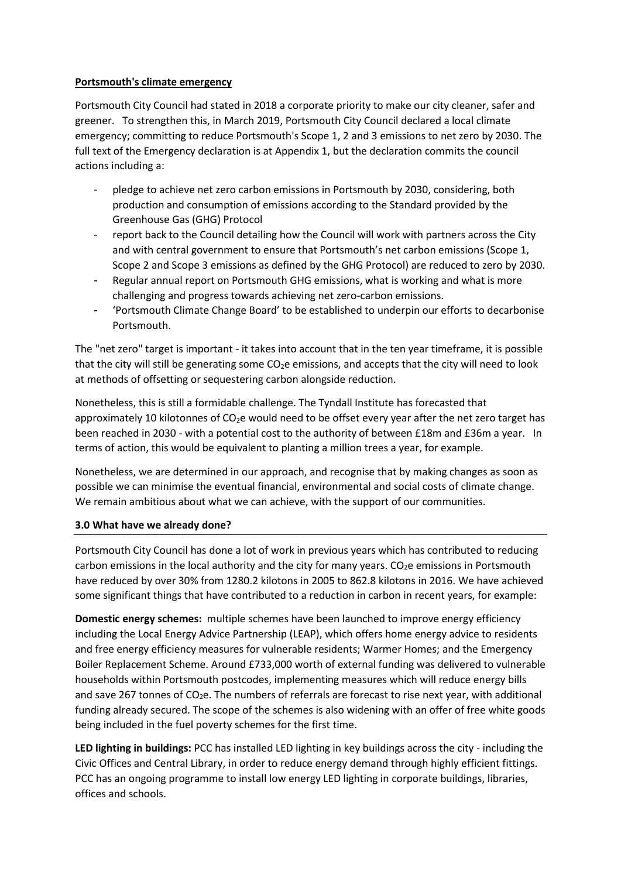# **Portsmouth's climate emergency**

Portsmouth City Council had stated in 2018 a corporate priority to make our city cleaner, safer and greener. To strengthen this, in March 2019, Portsmouth City Council declared a local climate emergency; committing to reduce Portsmouth's Scope 1, 2 and 3 emissions to net zero by 2030. The full text of the Emergency declaration is at Appendix 1, but the declaration commits the council actions including a:

- pledge to achieve net zero carbon emissions in Portsmouth by 2030, considering, both production and consumption of emissions according to the Standard provided by the Greenhouse Gas (GHG) Protocol
- report back to the Council detailing how the Council will work with partners across the City and with central government to ensure that Portsmouth's net carbon emissions (Scope 1, Scope 2 and Scope 3 emissions as defined by the GHG Protocol) are reduced to zero by 2030.
- Regular annual report on Portsmouth GHG emissions, what is working and what is more challenging and progress towards achieving net zero-carbon emissions.
- 'Portsmouth Climate Change Board' to be established to underpin our efforts to decarbonise Portsmouth.

The "net zero" target is important - it takes into account that in the ten year timeframe, it is possible that the city will still be generating some CO<sub>2</sub>e emissions, and accepts that the city will need to look at methods of offsetting or sequestering carbon alongside reduction.

Nonetheless, this is still a formidable challenge. The Tyndall Institute has forecasted that approximately 10 kilotonnes of CO<sub>2</sub>e would need to be offset every year after the net zero target has been reached in 2030 - with a potential cost to the authority of between £18m and £36m a year. In terms of action, this would be equivalent to planting a million trees a year, for example.

Nonetheless, we are determined in our approach, and recognise that by making changes as soon as possible we can minimise the eventual financial, environmental and social costs of climate change. We remain ambitious about what we can achieve, with the support of our communities.

#### **3.0 What have we already done?**

Portsmouth City Council has done a lot of work in previous years which has contributed to reducing carbon emissions in the local authority and the city for many years.  $CO<sub>2</sub>e$  emissions in Portsmouth have reduced by over 30% from 1280.2 kilotons in 2005 to 862.8 kilotons in 2016. We have achieved some significant things that have contributed to a reduction in carbon in recent years, for example:

**Domestic energy schemes:** multiple schemes have been launched to improve energy efficiency including the Local Energy Advice Partnership (LEAP), which offers home energy advice to residents and free energy efficiency measures for vulnerable residents; Warmer Homes; and the Emergency Boiler Replacement Scheme. Around £733,000 worth of external funding was delivered to vulnerable households within Portsmouth postcodes, implementing measures which will reduce energy bills and save 267 tonnes of  $CO<sub>2</sub>e$ . The numbers of referrals are forecast to rise next year, with additional funding already secured. The scope of the schemes is also widening with an offer of free white goods being included in the fuel poverty schemes for the first time.

**LED lighting in buildings:** PCC has installed LED lighting in key buildings across the city - including the Civic Offices and Central Library, in order to reduce energy demand through highly efficient fittings. PCC has an ongoing programme to install low energy LED lighting in corporate buildings, libraries, offices and schools.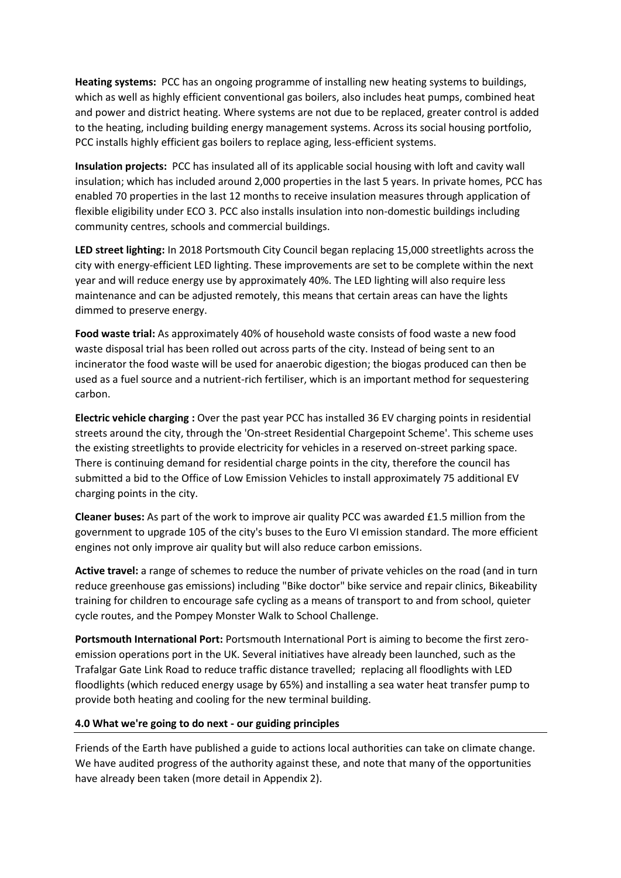**Heating systems:** PCC has an ongoing programme of installing new heating systems to buildings, which as well as highly efficient conventional gas boilers, also includes heat pumps, combined heat and power and district heating. Where systems are not due to be replaced, greater control is added to the heating, including building energy management systems. Across its social housing portfolio, PCC installs highly efficient gas boilers to replace aging, less-efficient systems.

**Insulation projects:** PCC has insulated all of its applicable social housing with loft and cavity wall insulation; which has included around 2,000 properties in the last 5 years. In private homes, PCC has enabled 70 properties in the last 12 months to receive insulation measures through application of flexible eligibility under ECO 3. PCC also installs insulation into non-domestic buildings including community centres, schools and commercial buildings.

**LED street lighting:** In 2018 Portsmouth City Council began replacing 15,000 streetlights across the city with energy-efficient LED lighting. These improvements are set to be complete within the next year and will reduce energy use by approximately 40%. The LED lighting will also require less maintenance and can be adjusted remotely, this means that certain areas can have the lights dimmed to preserve energy.

**Food waste trial:** As approximately 40% of household waste consists of food waste a new food waste disposal trial has been rolled out across parts of the city. Instead of being sent to an incinerator the food waste will be used for anaerobic digestion; the biogas produced can then be used as a fuel source and a nutrient-rich fertiliser, which is an important method for sequestering carbon.

**Electric vehicle charging :** Over the past year PCC has installed 36 EV charging points in residential streets around the city, through the 'On-street Residential Chargepoint Scheme'. This scheme uses the existing streetlights to provide electricity for vehicles in a reserved on-street parking space. There is continuing demand for residential charge points in the city, therefore the council has submitted a bid to the Office of Low Emission Vehicles to install approximately 75 additional EV charging points in the city.

**Cleaner buses:** As part of the work to improve air quality PCC was awarded £1.5 million from the government to upgrade 105 of the city's buses to the Euro VI emission standard. The more efficient engines not only improve air quality but will also reduce carbon emissions.

**Active travel:** a range of schemes to reduce the number of private vehicles on the road (and in turn reduce greenhouse gas emissions) including "Bike doctor" bike service and repair clinics, Bikeability training for children to encourage safe cycling as a means of transport to and from school, quieter cycle routes, and the Pompey Monster Walk to School Challenge.

**Portsmouth International Port:** Portsmouth International Port is aiming to become the first zeroemission operations port in the UK. Several initiatives have already been launched, such as the Trafalgar Gate Link Road to reduce traffic distance travelled; replacing all floodlights with LED floodlights (which reduced energy usage by 65%) and installing a sea water heat transfer pump to provide both heating and cooling for the new terminal building.

#### **4.0 What we're going to do next - our guiding principles**

Friends of the Earth have published a guide to actions local authorities can take on climate change. We have audited progress of the authority against these, and note that many of the opportunities have already been taken (more detail in Appendix 2).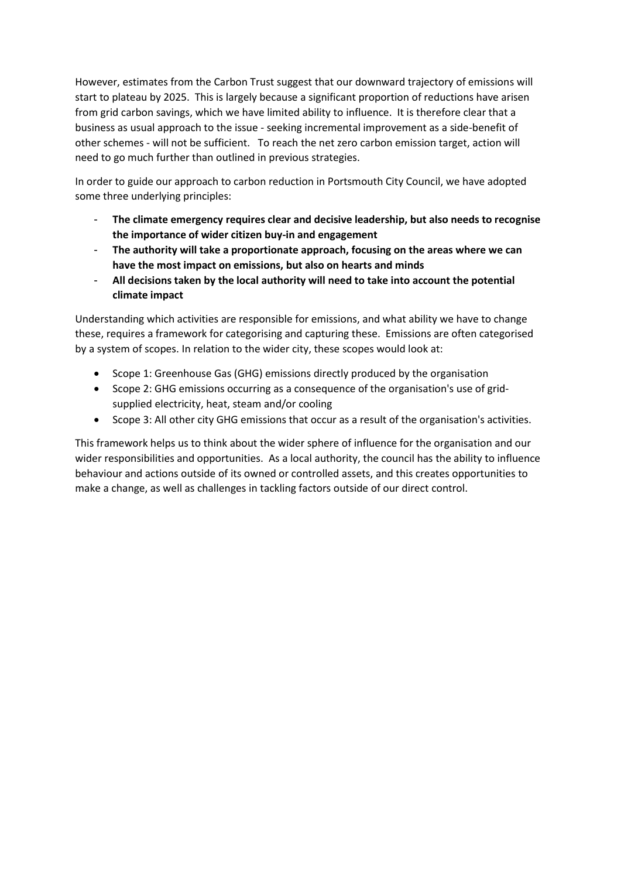However, estimates from the Carbon Trust suggest that our downward trajectory of emissions will start to plateau by 2025. This is largely because a significant proportion of reductions have arisen from grid carbon savings, which we have limited ability to influence. It is therefore clear that a business as usual approach to the issue - seeking incremental improvement as a side-benefit of other schemes - will not be sufficient. To reach the net zero carbon emission target, action will need to go much further than outlined in previous strategies.

In order to guide our approach to carbon reduction in Portsmouth City Council, we have adopted some three underlying principles:

- **The climate emergency requires clear and decisive leadership, but also needs to recognise the importance of wider citizen buy-in and engagement**
- **The authority will take a proportionate approach, focusing on the areas where we can have the most impact on emissions, but also on hearts and minds**
- **All decisions taken by the local authority will need to take into account the potential climate impact**

Understanding which activities are responsible for emissions, and what ability we have to change these, requires a framework for categorising and capturing these. Emissions are often categorised by a system of scopes. In relation to the wider city, these scopes would look at:

- Scope 1: Greenhouse Gas (GHG) emissions directly produced by the organisation
- Scope 2: GHG emissions occurring as a consequence of the organisation's use of gridsupplied electricity, heat, steam and/or cooling
- Scope 3: All other city GHG emissions that occur as a result of the organisation's activities.

This framework helps us to think about the wider sphere of influence for the organisation and our wider responsibilities and opportunities. As a local authority, the council has the ability to influence behaviour and actions outside of its owned or controlled assets, and this creates opportunities to make a change, as well as challenges in tackling factors outside of our direct control.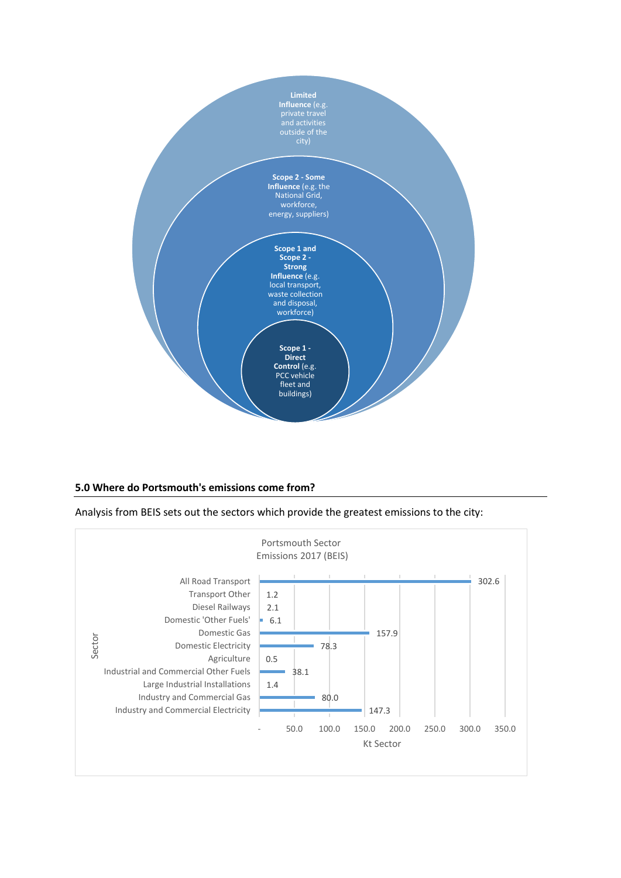

#### **5.0 Where do Portsmouth's emissions come from?**

Analysis from BEIS sets out the sectors which provide the greatest emissions to the city:

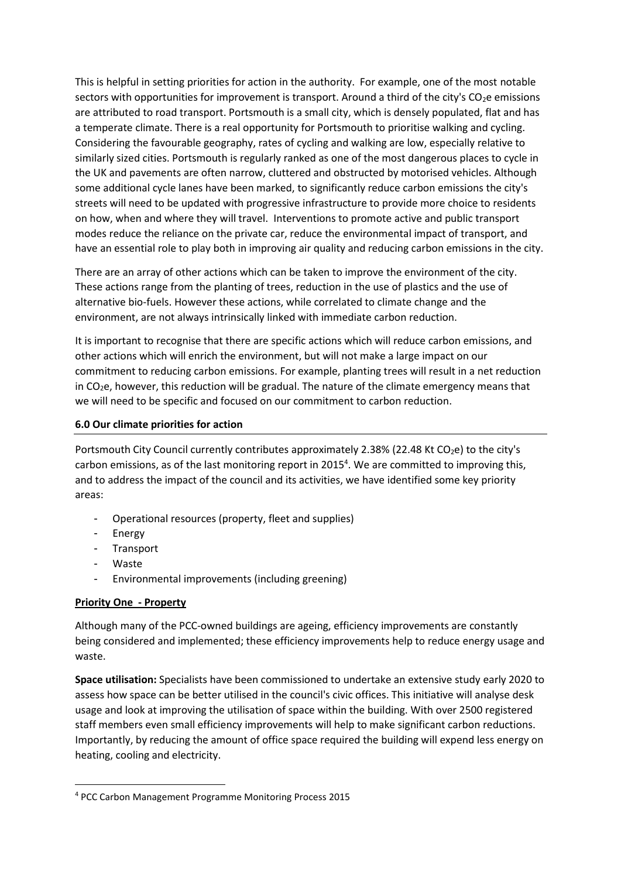This is helpful in setting priorities for action in the authority. For example, one of the most notable sectors with opportunities for improvement is transport. Around a third of the city's CO<sub>2</sub>e emissions are attributed to road transport. Portsmouth is a small city, which is densely populated, flat and has a temperate climate. There is a real opportunity for Portsmouth to prioritise walking and cycling. Considering the favourable geography, rates of cycling and walking are low, especially relative to similarly sized cities. Portsmouth is regularly ranked as one of the most dangerous places to cycle in the UK and pavements are often narrow, cluttered and obstructed by motorised vehicles. Although some additional cycle lanes have been marked, to significantly reduce carbon emissions the city's streets will need to be updated with progressive infrastructure to provide more choice to residents on how, when and where they will travel. Interventions to promote active and public transport modes reduce the reliance on the private car, reduce the environmental impact of transport, and have an essential role to play both in improving air quality and reducing carbon emissions in the city.

There are an array of other actions which can be taken to improve the environment of the city. These actions range from the planting of trees, reduction in the use of plastics and the use of alternative bio-fuels. However these actions, while correlated to climate change and the environment, are not always intrinsically linked with immediate carbon reduction.

It is important to recognise that there are specific actions which will reduce carbon emissions, and other actions which will enrich the environment, but will not make a large impact on our commitment to reducing carbon emissions. For example, planting trees will result in a net reduction in  $CO<sub>2</sub>e$ , however, this reduction will be gradual. The nature of the climate emergency means that we will need to be specific and focused on our commitment to carbon reduction.

# **6.0 Our climate priorities for action**

Portsmouth City Council currently contributes approximately 2.38% (22.48 Kt  $CO<sub>2</sub>e$ ) to the city's carbon emissions, as of the last monitoring report in 2015<sup>4</sup>. We are committed to improving this, and to address the impact of the council and its activities, we have identified some key priority areas:

- Operational resources (property, fleet and supplies)
- Energy
- Transport
- **Waste**

**.** 

- Environmental improvements (including greening)

# **Priority One - Property**

Although many of the PCC-owned buildings are ageing, efficiency improvements are constantly being considered and implemented; these efficiency improvements help to reduce energy usage and waste.

**Space utilisation:** Specialists have been commissioned to undertake an extensive study early 2020 to assess how space can be better utilised in the council's civic offices. This initiative will analyse desk usage and look at improving the utilisation of space within the building. With over 2500 registered staff members even small efficiency improvements will help to make significant carbon reductions. Importantly, by reducing the amount of office space required the building will expend less energy on heating, cooling and electricity.

<sup>4</sup> PCC Carbon Management Programme Monitoring Process 2015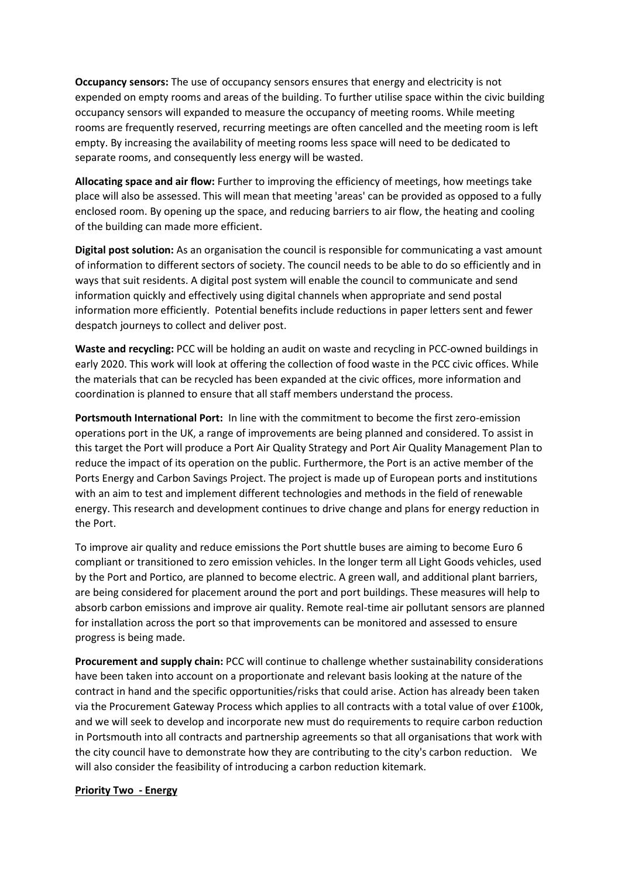**Occupancy sensors:** The use of occupancy sensors ensures that energy and electricity is not expended on empty rooms and areas of the building. To further utilise space within the civic building occupancy sensors will expanded to measure the occupancy of meeting rooms. While meeting rooms are frequently reserved, recurring meetings are often cancelled and the meeting room is left empty. By increasing the availability of meeting rooms less space will need to be dedicated to separate rooms, and consequently less energy will be wasted.

**Allocating space and air flow:** Further to improving the efficiency of meetings, how meetings take place will also be assessed. This will mean that meeting 'areas' can be provided as opposed to a fully enclosed room. By opening up the space, and reducing barriers to air flow, the heating and cooling of the building can made more efficient.

**Digital post solution:** As an organisation the council is responsible for communicating a vast amount of information to different sectors of society. The council needs to be able to do so efficiently and in ways that suit residents. A digital post system will enable the council to communicate and send information quickly and effectively using digital channels when appropriate and send postal information more efficiently. Potential benefits include reductions in paper letters sent and fewer despatch journeys to collect and deliver post.

**Waste and recycling:** PCC will be holding an audit on waste and recycling in PCC-owned buildings in early 2020. This work will look at offering the collection of food waste in the PCC civic offices. While the materials that can be recycled has been expanded at the civic offices, more information and coordination is planned to ensure that all staff members understand the process.

**Portsmouth International Port:** In line with the commitment to become the first zero-emission operations port in the UK, a range of improvements are being planned and considered. To assist in this target the Port will produce a Port Air Quality Strategy and Port Air Quality Management Plan to reduce the impact of its operation on the public. Furthermore, the Port is an active member of the Ports Energy and Carbon Savings Project. The project is made up of European ports and institutions with an aim to test and implement different technologies and methods in the field of renewable energy. This research and development continues to drive change and plans for energy reduction in the Port.

To improve air quality and reduce emissions the Port shuttle buses are aiming to become Euro 6 compliant or transitioned to zero emission vehicles. In the longer term all Light Goods vehicles, used by the Port and Portico, are planned to become electric. A green wall, and additional plant barriers, are being considered for placement around the port and port buildings. These measures will help to absorb carbon emissions and improve air quality. Remote real-time air pollutant sensors are planned for installation across the port so that improvements can be monitored and assessed to ensure progress is being made.

**Procurement and supply chain:** PCC will continue to challenge whether sustainability considerations have been taken into account on a proportionate and relevant basis looking at the nature of the contract in hand and the specific opportunities/risks that could arise. Action has already been taken via the Procurement Gateway Process which applies to all contracts with a total value of over £100k, and we will seek to develop and incorporate new must do requirements to require carbon reduction in Portsmouth into all contracts and partnership agreements so that all organisations that work with the city council have to demonstrate how they are contributing to the city's carbon reduction. We will also consider the feasibility of introducing a carbon reduction kitemark.

#### **Priority Two - Energy**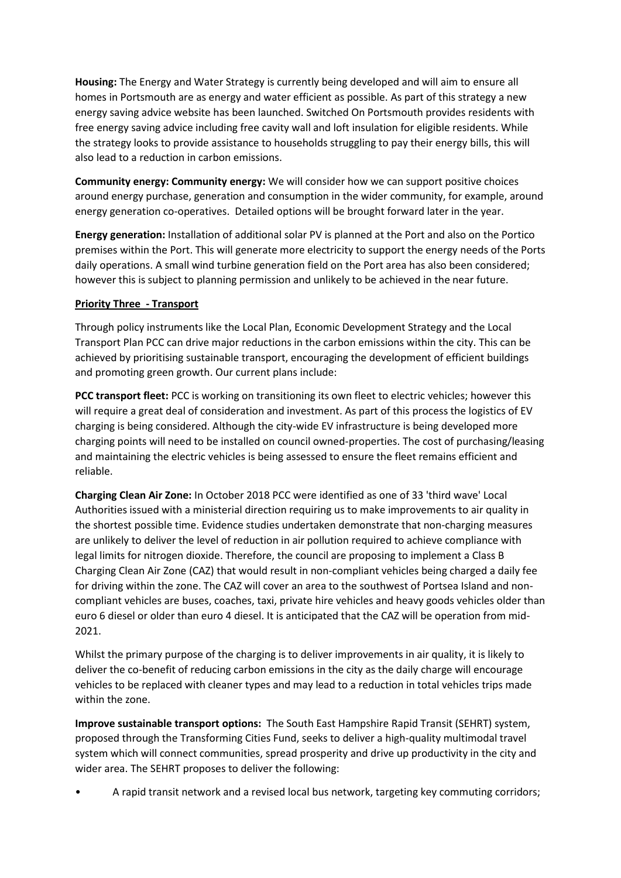**Housing:** The Energy and Water Strategy is currently being developed and will aim to ensure all homes in Portsmouth are as energy and water efficient as possible. As part of this strategy a new energy saving advice website has been launched. Switched On Portsmouth provides residents with free energy saving advice including free cavity wall and loft insulation for eligible residents. While the strategy looks to provide assistance to households struggling to pay their energy bills, this will also lead to a reduction in carbon emissions.

**Community energy: Community energy:** We will consider how we can support positive choices around energy purchase, generation and consumption in the wider community, for example, around energy generation co-operatives. Detailed options will be brought forward later in the year.

**Energy generation:** Installation of additional solar PV is planned at the Port and also on the Portico premises within the Port. This will generate more electricity to support the energy needs of the Ports daily operations. A small wind turbine generation field on the Port area has also been considered; however this is subject to planning permission and unlikely to be achieved in the near future.

# **Priority Three - Transport**

Through policy instruments like the Local Plan, Economic Development Strategy and the Local Transport Plan PCC can drive major reductions in the carbon emissions within the city. This can be achieved by prioritising sustainable transport, encouraging the development of efficient buildings and promoting green growth. Our current plans include:

**PCC transport fleet:** PCC is working on transitioning its own fleet to electric vehicles; however this will require a great deal of consideration and investment. As part of this process the logistics of EV charging is being considered. Although the city-wide EV infrastructure is being developed more charging points will need to be installed on council owned-properties. The cost of purchasing/leasing and maintaining the electric vehicles is being assessed to ensure the fleet remains efficient and reliable.

**Charging Clean Air Zone:** In October 2018 PCC were identified as one of 33 'third wave' Local Authorities issued with a ministerial direction requiring us to make improvements to air quality in the shortest possible time. Evidence studies undertaken demonstrate that non-charging measures are unlikely to deliver the level of reduction in air pollution required to achieve compliance with legal limits for nitrogen dioxide. Therefore, the council are proposing to implement a Class B Charging Clean Air Zone (CAZ) that would result in non-compliant vehicles being charged a daily fee for driving within the zone. The CAZ will cover an area to the southwest of Portsea Island and noncompliant vehicles are buses, coaches, taxi, private hire vehicles and heavy goods vehicles older than euro 6 diesel or older than euro 4 diesel. It is anticipated that the CAZ will be operation from mid-2021.

Whilst the primary purpose of the charging is to deliver improvements in air quality, it is likely to deliver the co-benefit of reducing carbon emissions in the city as the daily charge will encourage vehicles to be replaced with cleaner types and may lead to a reduction in total vehicles trips made within the zone.

**Improve sustainable transport options:** The South East Hampshire Rapid Transit (SEHRT) system, proposed through the Transforming Cities Fund, seeks to deliver a high-quality multimodal travel system which will connect communities, spread prosperity and drive up productivity in the city and wider area. The SEHRT proposes to deliver the following:

• A rapid transit network and a revised local bus network, targeting key commuting corridors;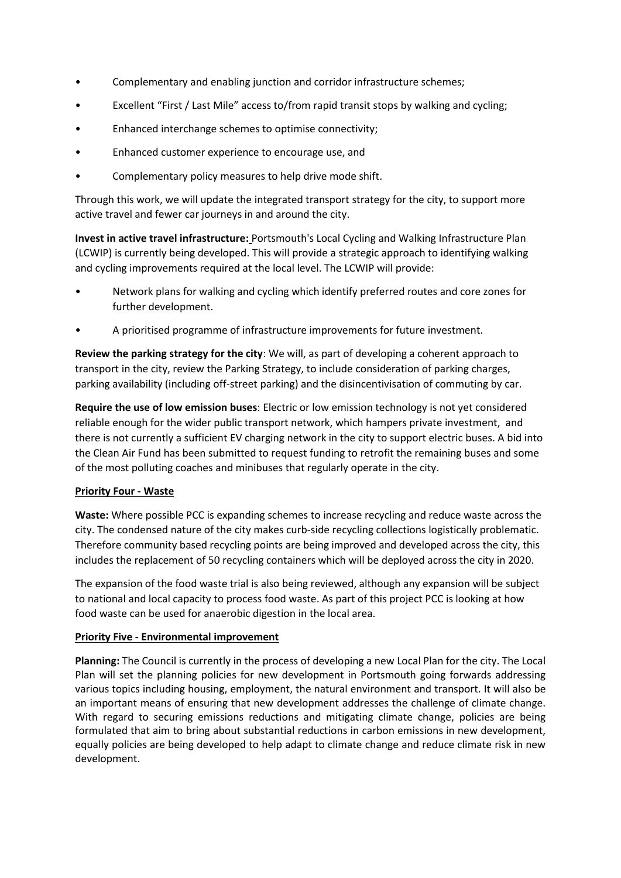- Complementary and enabling junction and corridor infrastructure schemes;
- Excellent "First / Last Mile" access to/from rapid transit stops by walking and cycling;
- Enhanced interchange schemes to optimise connectivity;
- Enhanced customer experience to encourage use, and
- Complementary policy measures to help drive mode shift.

Through this work, we will update the integrated transport strategy for the city, to support more active travel and fewer car journeys in and around the city.

**Invest in active travel infrastructure:** Portsmouth's Local Cycling and Walking Infrastructure Plan (LCWIP) is currently being developed. This will provide a strategic approach to identifying walking and cycling improvements required at the local level. The LCWIP will provide:

- Network plans for walking and cycling which identify preferred routes and core zones for further development.
- A prioritised programme of infrastructure improvements for future investment.

**Review the parking strategy for the city**: We will, as part of developing a coherent approach to transport in the city, review the Parking Strategy, to include consideration of parking charges, parking availability (including off-street parking) and the disincentivisation of commuting by car.

**Require the use of low emission buses**: Electric or low emission technology is not yet considered reliable enough for the wider public transport network, which hampers private investment, and there is not currently a sufficient EV charging network in the city to support electric buses. A bid into the Clean Air Fund has been submitted to request funding to retrofit the remaining buses and some of the most polluting coaches and minibuses that regularly operate in the city.

# **Priority Four - Waste**

**Waste:** Where possible PCC is expanding schemes to increase recycling and reduce waste across the city. The condensed nature of the city makes curb-side recycling collections logistically problematic. Therefore community based recycling points are being improved and developed across the city, this includes the replacement of 50 recycling containers which will be deployed across the city in 2020.

The expansion of the food waste trial is also being reviewed, although any expansion will be subject to national and local capacity to process food waste. As part of this project PCC is looking at how food waste can be used for anaerobic digestion in the local area.

# **Priority Five - Environmental improvement**

**Planning:** The Council is currently in the process of developing a new Local Plan for the city. The Local Plan will set the planning policies for new development in Portsmouth going forwards addressing various topics including housing, employment, the natural environment and transport. It will also be an important means of ensuring that new development addresses the challenge of climate change. With regard to securing emissions reductions and mitigating climate change, policies are being formulated that aim to bring about substantial reductions in carbon emissions in new development, equally policies are being developed to help adapt to climate change and reduce climate risk in new development.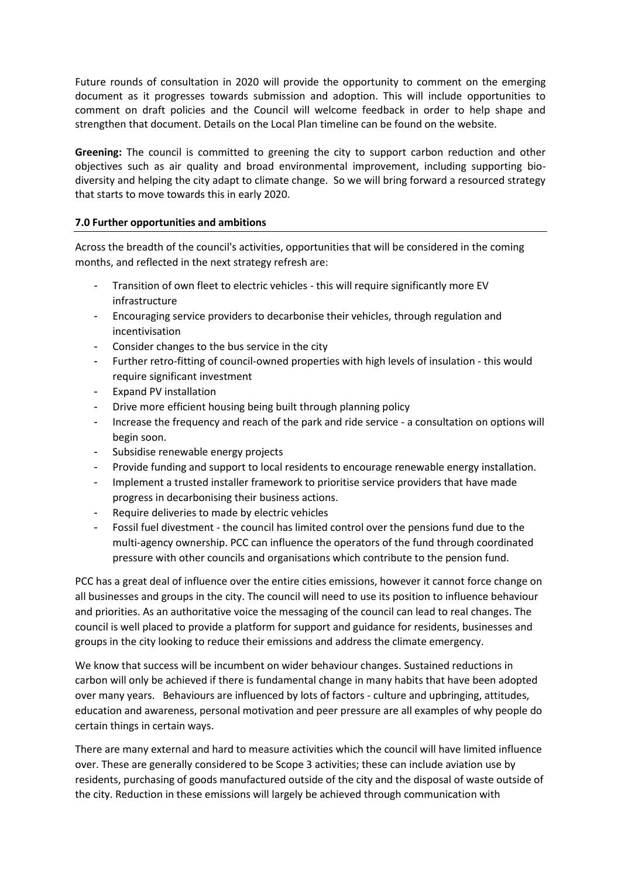Future rounds of consultation in 2020 will provide the opportunity to comment on the emerging document as it progresses towards submission and adoption. This will include opportunities to comment on draft policies and the Council will welcome feedback in order to help shape and strengthen that document. Details on the Local Plan timeline can be found on the website.

**Greening:** The council is committed to greening the city to support carbon reduction and other objectives such as air quality and broad environmental improvement, including supporting biodiversity and helping the city adapt to climate change. So we will bring forward a resourced strategy that starts to move towards this in early 2020.

# **7.0 Further opportunities and ambitions**

Across the breadth of the council's activities, opportunities that will be considered in the coming months, and reflected in the next strategy refresh are:

- Transition of own fleet to electric vehicles this will require significantly more EV infrastructure
- Encouraging service providers to decarbonise their vehicles, through regulation and incentivisation
- Consider changes to the bus service in the city
- Further retro-fitting of council-owned properties with high levels of insulation this would require significant investment
- Expand PV installation
- Drive more efficient housing being built through planning policy
- Increase the frequency and reach of the park and ride service a consultation on options will begin soon.
- Subsidise renewable energy projects
- Provide funding and support to local residents to encourage renewable energy installation.
- Implement a trusted installer framework to prioritise service providers that have made progress in decarbonising their business actions.
- Require deliveries to made by electric vehicles
- Fossil fuel divestment the council has limited control over the pensions fund due to the multi-agency ownership. PCC can influence the operators of the fund through coordinated pressure with other councils and organisations which contribute to the pension fund.

PCC has a great deal of influence over the entire cities emissions, however it cannot force change on all businesses and groups in the city. The council will need to use its position to influence behaviour and priorities. As an authoritative voice the messaging of the council can lead to real changes. The council is well placed to provide a platform for support and guidance for residents, businesses and groups in the city looking to reduce their emissions and address the climate emergency.

We know that success will be incumbent on wider behaviour changes. Sustained reductions in carbon will only be achieved if there is fundamental change in many habits that have been adopted over many years. Behaviours are influenced by lots of factors - culture and upbringing, attitudes, education and awareness, personal motivation and peer pressure are all examples of why people do certain things in certain ways.

There are many external and hard to measure activities which the council will have limited influence over. These are generally considered to be Scope 3 activities; these can include aviation use by residents, purchasing of goods manufactured outside of the city and the disposal of waste outside of the city. Reduction in these emissions will largely be achieved through communication with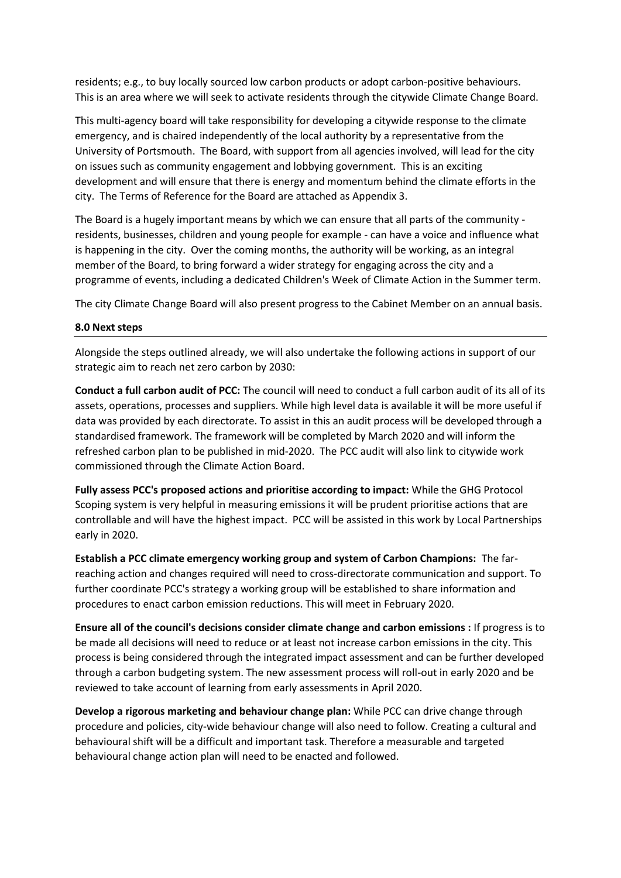residents; e.g., to buy locally sourced low carbon products or adopt carbon-positive behaviours. This is an area where we will seek to activate residents through the citywide Climate Change Board.

This multi-agency board will take responsibility for developing a citywide response to the climate emergency, and is chaired independently of the local authority by a representative from the University of Portsmouth. The Board, with support from all agencies involved, will lead for the city on issues such as community engagement and lobbying government. This is an exciting development and will ensure that there is energy and momentum behind the climate efforts in the city. The Terms of Reference for the Board are attached as Appendix 3.

The Board is a hugely important means by which we can ensure that all parts of the community residents, businesses, children and young people for example - can have a voice and influence what is happening in the city. Over the coming months, the authority will be working, as an integral member of the Board, to bring forward a wider strategy for engaging across the city and a programme of events, including a dedicated Children's Week of Climate Action in the Summer term.

The city Climate Change Board will also present progress to the Cabinet Member on an annual basis.

#### **8.0 Next steps**

Alongside the steps outlined already, we will also undertake the following actions in support of our strategic aim to reach net zero carbon by 2030:

**Conduct a full carbon audit of PCC:** The council will need to conduct a full carbon audit of its all of its assets, operations, processes and suppliers. While high level data is available it will be more useful if data was provided by each directorate. To assist in this an audit process will be developed through a standardised framework. The framework will be completed by March 2020 and will inform the refreshed carbon plan to be published in mid-2020. The PCC audit will also link to citywide work commissioned through the Climate Action Board.

**Fully assess PCC's proposed actions and prioritise according to impact:** While the GHG Protocol Scoping system is very helpful in measuring emissions it will be prudent prioritise actions that are controllable and will have the highest impact. PCC will be assisted in this work by Local Partnerships early in 2020.

**Establish a PCC climate emergency working group and system of Carbon Champions:** The farreaching action and changes required will need to cross-directorate communication and support. To further coordinate PCC's strategy a working group will be established to share information and procedures to enact carbon emission reductions. This will meet in February 2020.

**Ensure all of the council's decisions consider climate change and carbon emissions :** If progress is to be made all decisions will need to reduce or at least not increase carbon emissions in the city. This process is being considered through the integrated impact assessment and can be further developed through a carbon budgeting system. The new assessment process will roll-out in early 2020 and be reviewed to take account of learning from early assessments in April 2020.

**Develop a rigorous marketing and behaviour change plan:** While PCC can drive change through procedure and policies, city-wide behaviour change will also need to follow. Creating a cultural and behavioural shift will be a difficult and important task. Therefore a measurable and targeted behavioural change action plan will need to be enacted and followed.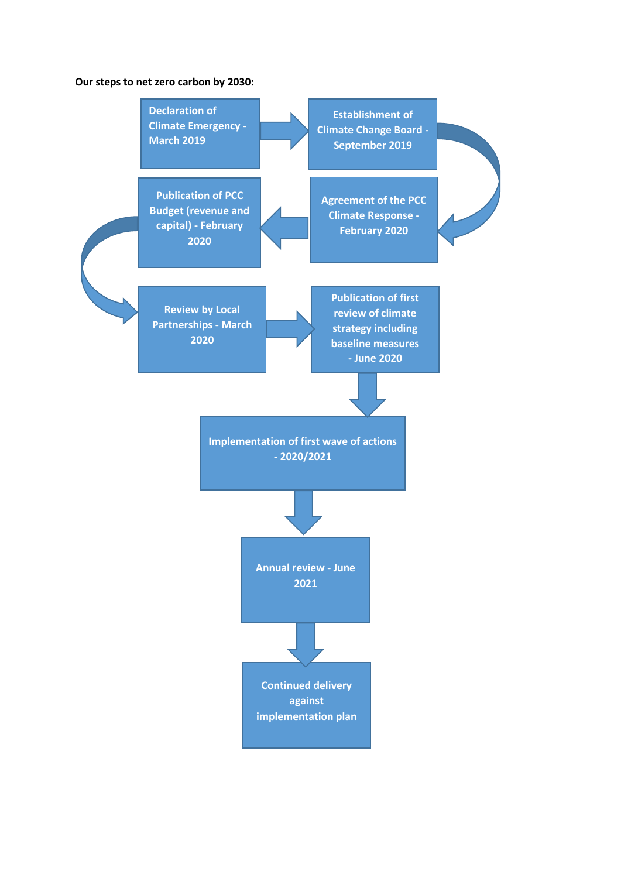#### **Our steps to net zero carbon by 2030:**

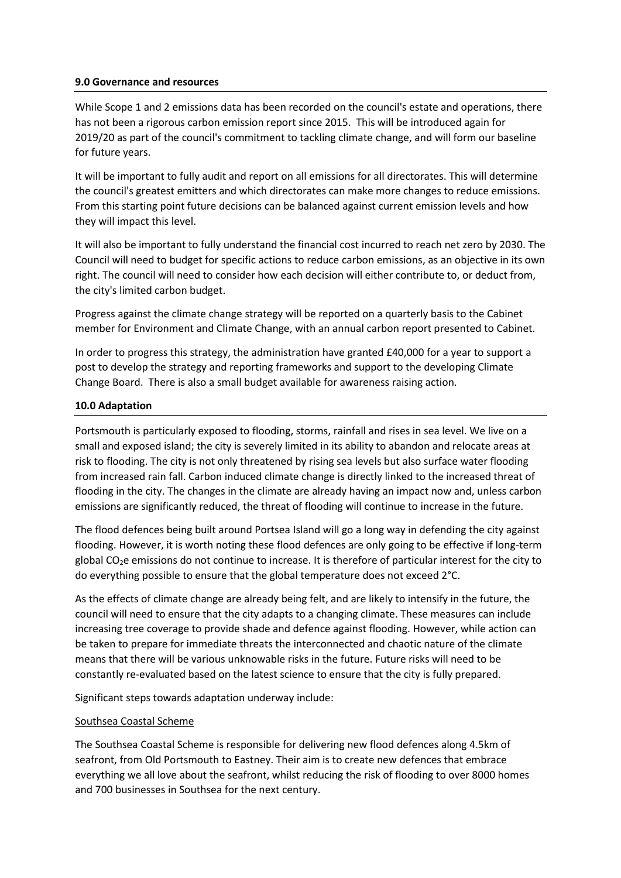#### **9.0 Governance and resources**

While Scope 1 and 2 emissions data has been recorded on the council's estate and operations, there has not been a rigorous carbon emission report since 2015. This will be introduced again for 2019/20 as part of the council's commitment to tackling climate change, and will form our baseline for future years.

It will be important to fully audit and report on all emissions for all directorates. This will determine the council's greatest emitters and which directorates can make more changes to reduce emissions. From this starting point future decisions can be balanced against current emission levels and how they will impact this level.

It will also be important to fully understand the financial cost incurred to reach net zero by 2030. The Council will need to budget for specific actions to reduce carbon emissions, as an objective in its own right. The council will need to consider how each decision will either contribute to, or deduct from, the city's limited carbon budget.

Progress against the climate change strategy will be reported on a quarterly basis to the Cabinet member for Environment and Climate Change, with an annual carbon report presented to Cabinet.

In order to progress this strategy, the administration have granted £40,000 for a year to support a post to develop the strategy and reporting frameworks and support to the developing Climate Change Board. There is also a small budget available for awareness raising action.

#### **10.0 Adaptation**

Portsmouth is particularly exposed to flooding, storms, rainfall and rises in sea level. We live on a small and exposed island; the city is severely limited in its ability to abandon and relocate areas at risk to flooding. The city is not only threatened by rising sea levels but also surface water flooding from increased rain fall. Carbon induced climate change is directly linked to the increased threat of flooding in the city. The changes in the climate are already having an impact now and, unless carbon emissions are significantly reduced, the threat of flooding will continue to increase in the future.

The flood defences being built around Portsea Island will go a long way in defending the city against flooding. However, it is worth noting these flood defences are only going to be effective if long-term global CO2e emissions do not continue to increase. It is therefore of particular interest for the city to do everything possible to ensure that the global temperature does not exceed 2°C.

As the effects of climate change are already being felt, and are likely to intensify in the future, the council will need to ensure that the city adapts to a changing climate. These measures can include increasing tree coverage to provide shade and defence against flooding. However, while action can be taken to prepare for immediate threats the interconnected and chaotic nature of the climate means that there will be various unknowable risks in the future. Future risks will need to be constantly re-evaluated based on the latest science to ensure that the city is fully prepared.

Significant steps towards adaptation underway include:

#### Southsea Coastal Scheme

The Southsea Coastal Scheme is responsible for delivering new flood defences along 4.5km of seafront, from Old Portsmouth to Eastney. Their aim is to create new defences that embrace everything we all love about the seafront, whilst reducing the risk of flooding to over 8000 homes and 700 businesses in Southsea for the next century.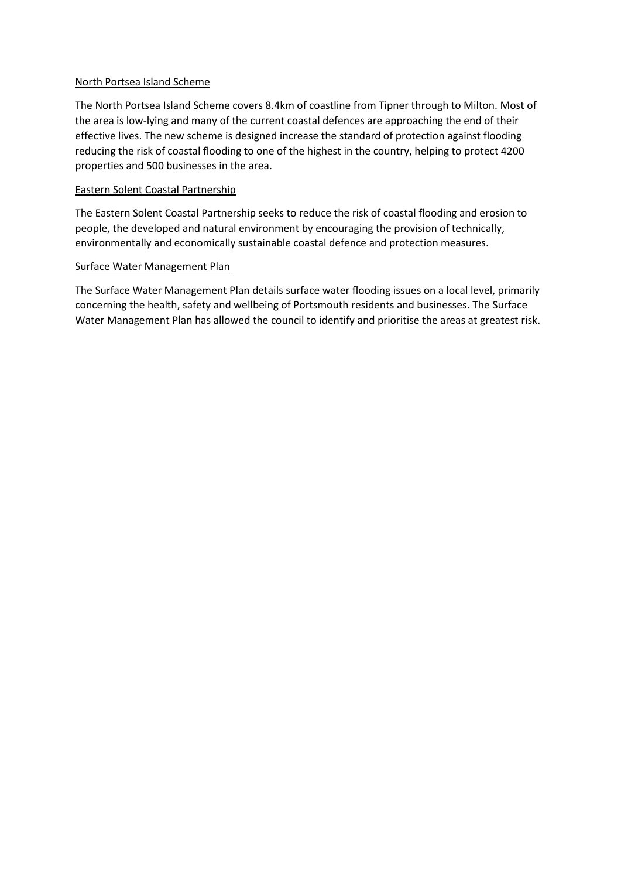# North Portsea Island Scheme

The North Portsea Island Scheme covers 8.4km of coastline from Tipner through to Milton. Most of the area is low-lying and many of the current coastal defences are approaching the end of their effective lives. The new scheme is designed increase the standard of protection against flooding reducing the risk of coastal flooding to one of the highest in the country, helping to protect 4200 properties and 500 businesses in the area.

# Eastern Solent Coastal Partnership

The Eastern Solent Coastal Partnership seeks to reduce the risk of coastal flooding and erosion to people, the developed and natural environment by encouraging the provision of technically, environmentally and economically sustainable coastal defence and protection measures.

# Surface Water Management Plan

The Surface Water Management Plan details surface water flooding issues on a local level, primarily concerning the health, safety and wellbeing of Portsmouth residents and businesses. The Surface Water Management Plan has allowed the council to identify and prioritise the areas at greatest risk.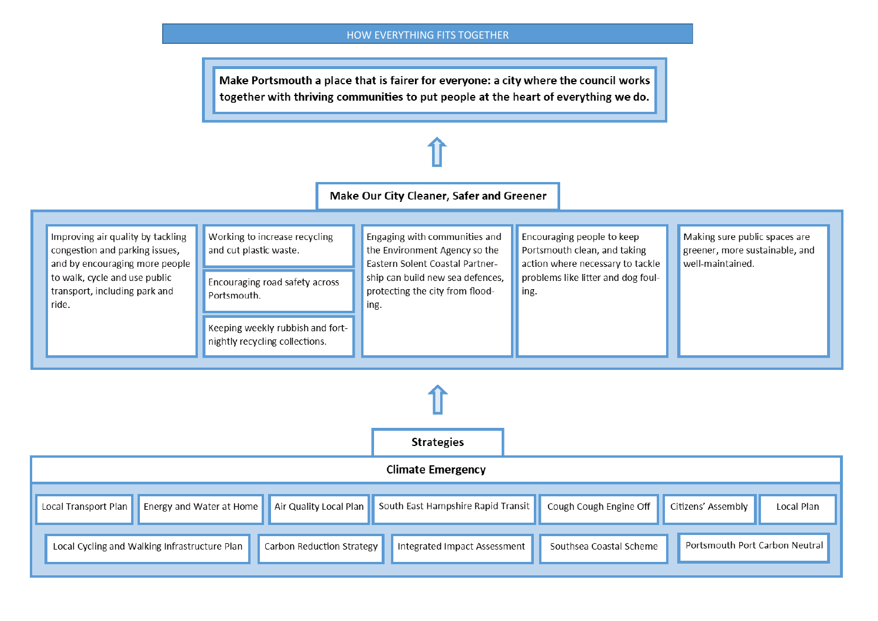#### HOW EVERYTHING FITS TOGETHER

Make Portsmouth a place that is fairer for everyone: a city where the council works together with thriving communities to put people at the heart of everything we do.

# Make Our City Cleaner, Safer and Greener



| <b>Climate Emergency</b>                      |                                                                             |                           |                                    |                         |                                |            |
|-----------------------------------------------|-----------------------------------------------------------------------------|---------------------------|------------------------------------|-------------------------|--------------------------------|------------|
|                                               | $^{\prime}$ Local Transport Plan <b>  E</b> nergy and Water at Home $\vert$ | Air Quality Local Plan    | South East Hampshire Rapid Transit | Cough Cough Engine Off  | Citizens' Assembly             | Local Plan |
| Local Cycling and Walking Infrastructure Plan |                                                                             | Carbon Reduction Strategy | Integrated Impact Assessment       | Southsea Coastal Scheme | Portsmouth Port Carbon Neutral |            |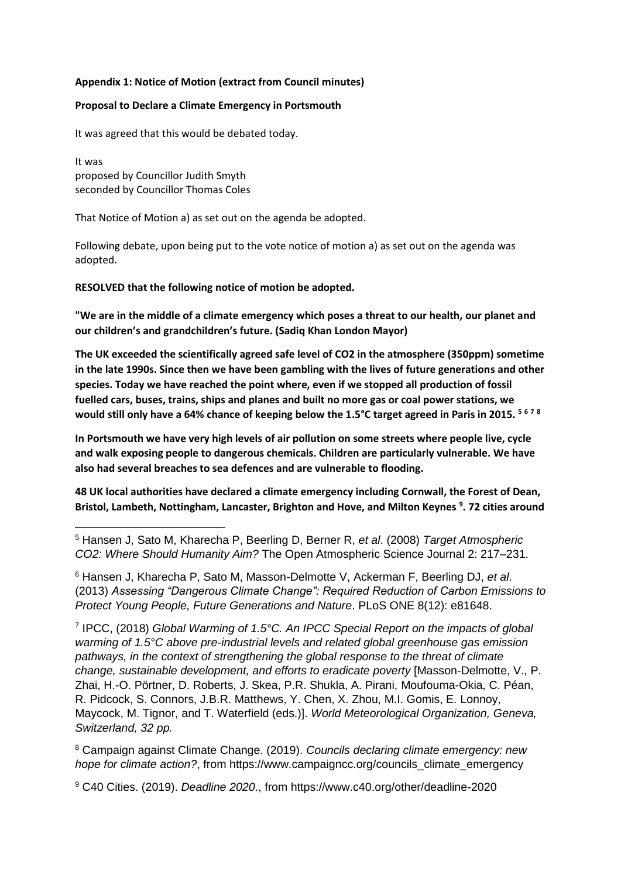# **Appendix 1: Notice of Motion (extract from Council minutes)**

#### **Proposal to Declare a Climate Emergency in Portsmouth**

It was agreed that this would be debated today.

It was proposed by Councillor Judith Smyth seconded by Councillor Thomas Coles

1

That Notice of Motion a) as set out on the agenda be adopted.

Following debate, upon being put to the vote notice of motion a) as set out on the agenda was adopted.

**RESOLVED that the following notice of motion be adopted.**

**"We are in the middle of a climate emergency which poses a threat to our health, our planet and our children's and grandchildren's future. (Sadiq Khan London Mayor)** 

**The UK exceeded the scientifically agreed safe level of CO2 in the atmosphere (350ppm) sometime in the late 1990s. Since then we have been gambling with the lives of future generations and other species. Today we have reached the point where, even if we stopped all production of fossil fuelled cars, buses, trains, ships and planes and built no more gas or coal power stations, we would still only have a 64% chance of keeping below the 1.5°C target agreed in Paris in 2015. <sup>5</sup> <sup>6</sup> <sup>7</sup> <sup>8</sup>**

**In Portsmouth we have very high levels of air pollution on some streets where people live, cycle and walk exposing people to dangerous chemicals. Children are particularly vulnerable. We have also had several breaches to sea defences and are vulnerable to flooding.** 

**48 UK local authorities have declared a climate emergency including Cornwall, the Forest of Dean, Bristol, Lambeth, Nottingham, Lancaster, Brighton and Hove, and Milton Keynes <sup>9</sup> . 72 cities around** 

<sup>6</sup> Hansen J, Kharecha P, Sato M, Masson-Delmotte V, Ackerman F, Beerling DJ, *et al*. (2013) *Assessing "Dangerous Climate Change": Required Reduction of Carbon Emissions to Protect Young People, Future Generations and Nature*. PLoS ONE 8(12): e81648.

7 IPCC, (2018) *Global Warming of 1.5°C. An IPCC Special Report on the impacts of global warming of 1.5°C above pre-industrial levels and related global greenhouse gas emission pathways, in the context of strengthening the global response to the threat of climate change, sustainable development, and efforts to eradicate poverty* [Masson-Delmotte, V., P. Zhai, H.-O. Pörtner, D. Roberts, J. Skea, P.R. Shukla, A. Pirani, Moufouma-Okia, C. Péan, R. Pidcock, S. Connors, J.B.R. Matthews, Y. Chen, X. Zhou, M.I. Gomis, E. Lonnoy, Maycock, M. Tignor, and T. Waterfield (eds.)]. *World Meteorological Organization, Geneva, Switzerland, 32 pp.*

<sup>8</sup> Campaign against Climate Change. (2019). *Councils declaring climate emergency: new hope for climate action?*, from https://www.campaigncc.org/councils\_climate\_emergency

<sup>9</sup> C40 Cities. (2019). *Deadline 2020*., from https://www.c40.org/other/deadline-2020

<sup>5</sup> Hansen J, Sato M, Kharecha P, Beerling D, Berner R, *et al*. (2008) *Target Atmospheric CO2: Where Should Humanity Aim?* The Open Atmospheric Science Journal 2: 217–231.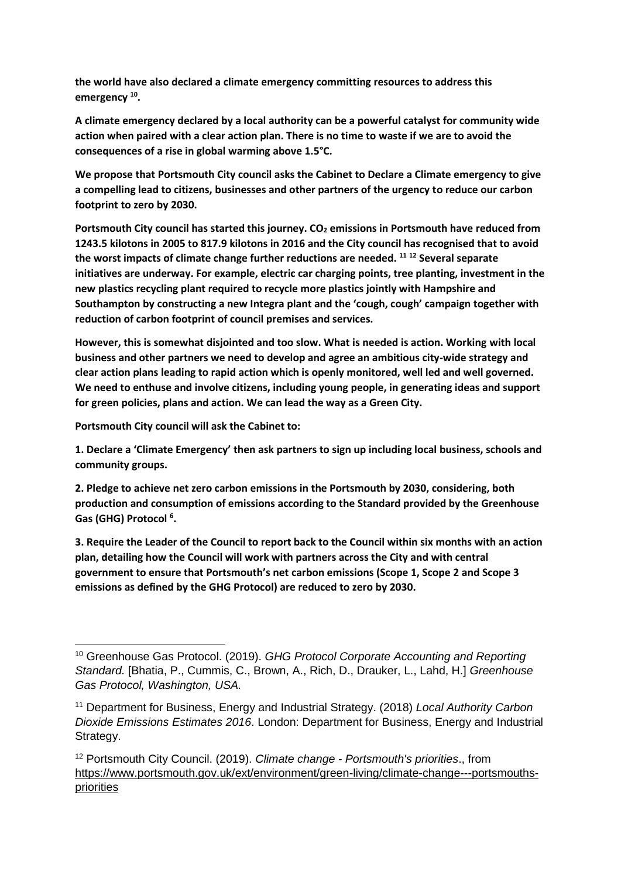**the world have also declared a climate emergency committing resources to address this emergency <sup>10</sup> .**

**A climate emergency declared by a local authority can be a powerful catalyst for community wide action when paired with a clear action plan. There is no time to waste if we are to avoid the consequences of a rise in global warming above 1.5°C.**

**We propose that Portsmouth City council asks the Cabinet to Declare a Climate emergency to give a compelling lead to citizens, businesses and other partners of the urgency to reduce our carbon footprint to zero by 2030.** 

**Portsmouth City council has started this journey. CO<sup>2</sup> emissions in Portsmouth have reduced from 1243.5 kilotons in 2005 to 817.9 kilotons in 2016 and the City council has recognised that to avoid the worst impacts of climate change further reductions are needed. <sup>11</sup> <sup>12</sup> Several separate initiatives are underway. For example, electric car charging points, tree planting, investment in the new plastics recycling plant required to recycle more plastics jointly with Hampshire and Southampton by constructing a new Integra plant and the 'cough, cough' campaign together with reduction of carbon footprint of council premises and services.** 

**However, this is somewhat disjointed and too slow. What is needed is action. Working with local business and other partners we need to develop and agree an ambitious city-wide strategy and clear action plans leading to rapid action which is openly monitored, well led and well governed. We need to enthuse and involve citizens, including young people, in generating ideas and support for green policies, plans and action. We can lead the way as a Green City.** 

**Portsmouth City council will ask the Cabinet to:** 

**1. Declare a 'Climate Emergency' then ask partners to sign up including local business, schools and community groups.**

**2. Pledge to achieve net zero carbon emissions in the Portsmouth by 2030, considering, both production and consumption of emissions according to the Standard provided by the Greenhouse Gas (GHG) Protocol <sup>6</sup> .**

**3. Require the Leader of the Council to report back to the Council within six months with an action plan, detailing how the Council will work with partners across the City and with central government to ensure that Portsmouth's net carbon emissions (Scope 1, Scope 2 and Scope 3 emissions as defined by the GHG Protocol) are reduced to zero by 2030.**

**<sup>.</sup>** <sup>10</sup> Greenhouse Gas Protocol. (2019). *GHG Protocol Corporate Accounting and Reporting Standard.* [Bhatia, P., Cummis, C., Brown, A., Rich, D., Drauker, L., Lahd, H.] *Greenhouse Gas Protocol, Washington, USA.*

<sup>11</sup> Department for Business, Energy and Industrial Strategy. (2018) *Local Authority Carbon Dioxide Emissions Estimates 2016*. London: Department for Business, Energy and Industrial Strategy.

<sup>12</sup> Portsmouth City Council. (2019). *Climate change - Portsmouth's priorities*., from https://www.portsmouth.gov.uk/ext/environment/green-living/climate-change---portsmouths**priorities**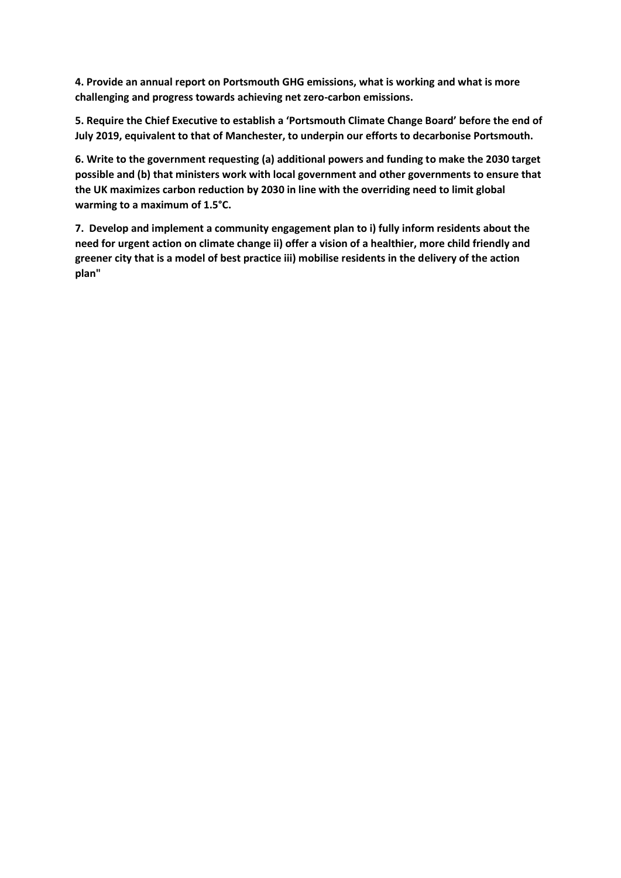**4. Provide an annual report on Portsmouth GHG emissions, what is working and what is more challenging and progress towards achieving net zero-carbon emissions.**

**5. Require the Chief Executive to establish a 'Portsmouth Climate Change Board' before the end of July 2019, equivalent to that of Manchester, to underpin our efforts to decarbonise Portsmouth.**

**6. Write to the government requesting (a) additional powers and funding to make the 2030 target possible and (b) that ministers work with local government and other governments to ensure that the UK maximizes carbon reduction by 2030 in line with the overriding need to limit global warming to a maximum of 1.5°C.**

**7. Develop and implement a community engagement plan to i) fully inform residents about the need for urgent action on climate change ii) offer a vision of a healthier, more child friendly and greener city that is a model of best practice iii) mobilise residents in the delivery of the action plan"**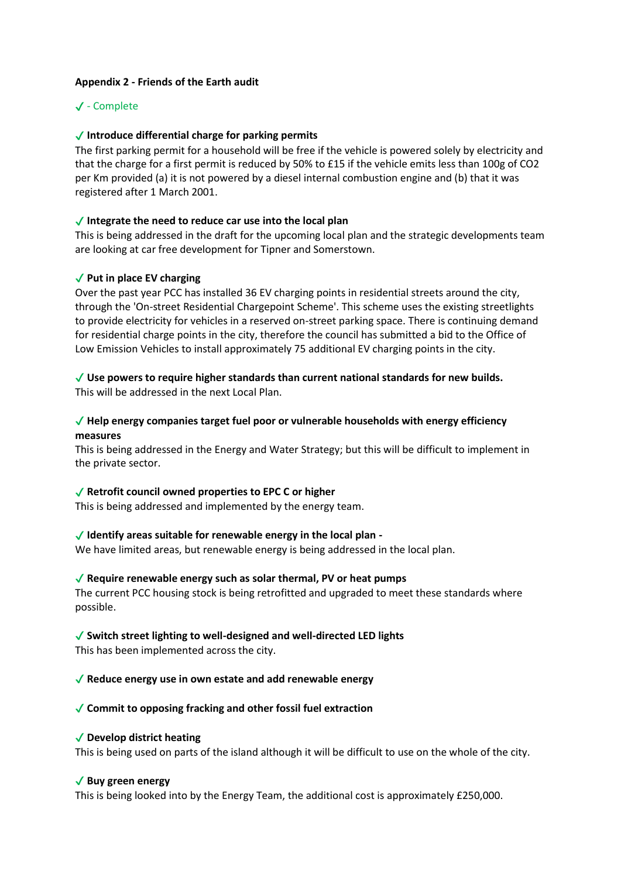# **Appendix 2 - Friends of the Earth audit**

# ✔ - Complete

# ✔ **Introduce differential charge for parking permits**

The first parking permit for a household will be free if the vehicle is powered solely by electricity and that the charge for a first permit is reduced by 50% to £15 if the vehicle emits less than 100g of CO2 per Km provided (a) it is not powered by a diesel internal combustion engine and (b) that it was registered after 1 March 2001.

# ✔ **Integrate the need to reduce car use into the local plan**

This is being addressed in the draft for the upcoming local plan and the strategic developments team are looking at car free development for Tipner and Somerstown.

# ✔ **Put in place EV charging**

Over the past year PCC has installed 36 EV charging points in residential streets around the city, through the 'On-street Residential Chargepoint Scheme'. This scheme uses the existing streetlights to provide electricity for vehicles in a reserved on-street parking space. There is continuing demand for residential charge points in the city, therefore the council has submitted a bid to the Office of Low Emission Vehicles to install approximately 75 additional EV charging points in the city.

# ✔ **Use powers to require higher standards than current national standards for new builds.**

This will be addressed in the next Local Plan.

# ✔ **Help energy companies target fuel poor or vulnerable households with energy efficiency measures**

This is being addressed in the Energy and Water Strategy; but this will be difficult to implement in the private sector.

# ✔ **Retrofit council owned properties to EPC C or higher**

This is being addressed and implemented by the energy team.

#### ✔ **Identify areas suitable for renewable energy in the local plan -**

We have limited areas, but renewable energy is being addressed in the local plan.

#### ✔ **Require renewable energy such as solar thermal, PV or heat pumps**

The current PCC housing stock is being retrofitted and upgraded to meet these standards where possible.

#### ✔ **Switch street lighting to well-designed and well-directed LED lights**

This has been implemented across the city.

#### ✔ **Reduce energy use in own estate and add renewable energy**

#### ✔ **Commit to opposing fracking and other fossil fuel extraction**

#### ✔ **Develop district heating**

This is being used on parts of the island although it will be difficult to use on the whole of the city.

#### ✔ **Buy green energy**

This is being looked into by the Energy Team, the additional cost is approximately £250,000.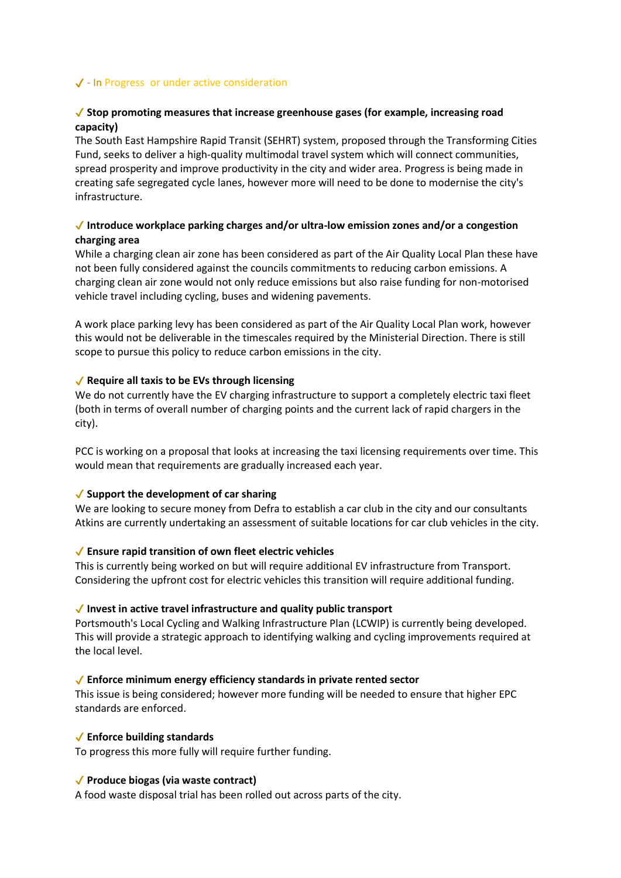# ✔ - In Progress or under active consideration

# ✔ **Stop promoting measures that increase greenhouse gases (for example, increasing road capacity)**

The South East Hampshire Rapid Transit (SEHRT) system, proposed through the Transforming Cities Fund, seeks to deliver a high-quality multimodal travel system which will connect communities, spread prosperity and improve productivity in the city and wider area. Progress is being made in creating safe segregated cycle lanes, however more will need to be done to modernise the city's infrastructure.

# ✔ **Introduce workplace parking charges and/or ultra-low emission zones and/or a congestion charging area**

While a charging clean air zone has been considered as part of the Air Quality Local Plan these have not been fully considered against the councils commitments to reducing carbon emissions. A charging clean air zone would not only reduce emissions but also raise funding for non-motorised vehicle travel including cycling, buses and widening pavements.

A work place parking levy has been considered as part of the Air Quality Local Plan work, however this would not be deliverable in the timescales required by the Ministerial Direction. There is still scope to pursue this policy to reduce carbon emissions in the city.

#### ✔ **Require all taxis to be EVs through licensing**

We do not currently have the EV charging infrastructure to support a completely electric taxi fleet (both in terms of overall number of charging points and the current lack of rapid chargers in the city).

PCC is working on a proposal that looks at increasing the taxi licensing requirements over time. This would mean that requirements are gradually increased each year.

#### ✔ **Support the development of car sharing**

We are looking to secure money from Defra to establish a car club in the city and our consultants Atkins are currently undertaking an assessment of suitable locations for car club vehicles in the city.

#### ✔ **Ensure rapid transition of own fleet electric vehicles**

This is currently being worked on but will require additional EV infrastructure from Transport. Considering the upfront cost for electric vehicles this transition will require additional funding.

#### ✔ **Invest in active travel infrastructure and quality public transport**

Portsmouth's Local Cycling and Walking Infrastructure Plan (LCWIP) is currently being developed. This will provide a strategic approach to identifying walking and cycling improvements required at the local level.

#### ✔ **Enforce minimum energy efficiency standards in private rented sector**

This issue is being considered; however more funding will be needed to ensure that higher EPC standards are enforced.

#### ✔ **Enforce building standards**

To progress this more fully will require further funding.

#### ✔ **Produce biogas (via waste contract)**

A food waste disposal trial has been rolled out across parts of the city.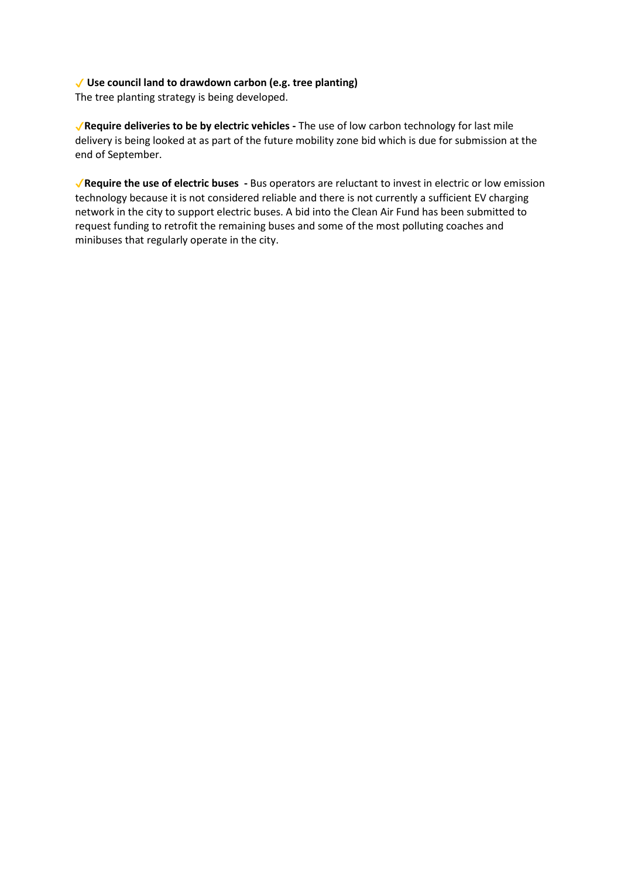# ✔ **Use council land to drawdown carbon (e.g. tree planting)**

The tree planting strategy is being developed.

✔**Require deliveries to be by electric vehicles -** The use of low carbon technology for last mile delivery is being looked at as part of the future mobility zone bid which is due for submission at the end of September.

✔**Require the use of electric buses -** Bus operators are reluctant to invest in electric or low emission technology because it is not considered reliable and there is not currently a sufficient EV charging network in the city to support electric buses. A bid into the Clean Air Fund has been submitted to request funding to retrofit the remaining buses and some of the most polluting coaches and minibuses that regularly operate in the city.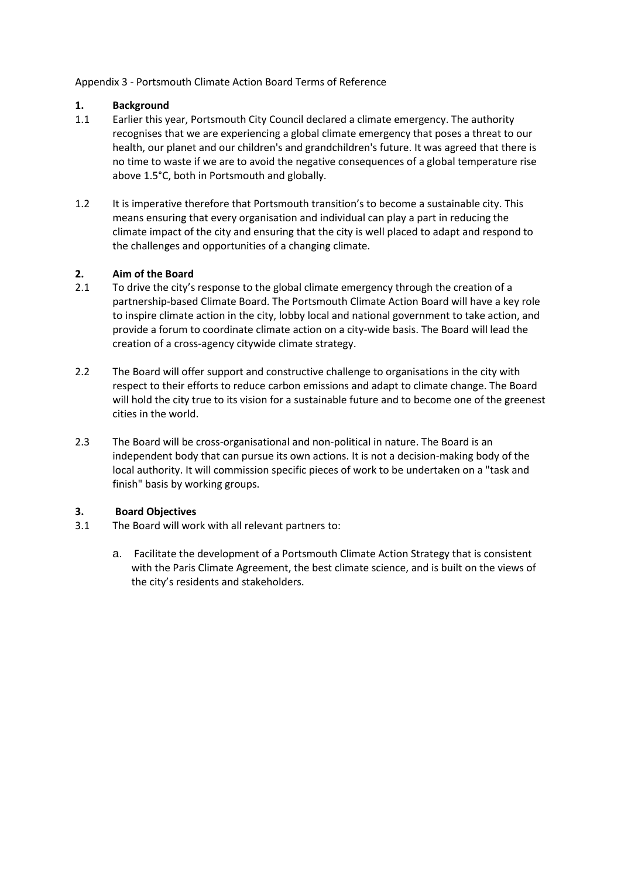# Appendix 3 - Portsmouth Climate Action Board Terms of Reference

# **1. Background**

- 1.1 Earlier this year, Portsmouth City Council declared a climate emergency. The authority recognises that we are experiencing a global climate emergency that poses a threat to our health, our planet and our children's and grandchildren's future. It was agreed that there is no time to waste if we are to avoid the negative consequences of a global temperature rise above 1.5°C, both in Portsmouth and globally.
- 1.2 It is imperative therefore that Portsmouth transition's to become a sustainable city. This means ensuring that every organisation and individual can play a part in reducing the climate impact of the city and ensuring that the city is well placed to adapt and respond to the challenges and opportunities of a changing climate.

# **2. Aim of the Board**

- 2.1 To drive the city's response to the global climate emergency through the creation of a partnership-based Climate Board. The Portsmouth Climate Action Board will have a key role to inspire climate action in the city, lobby local and national government to take action, and provide a forum to coordinate climate action on a city-wide basis. The Board will lead the creation of a cross-agency citywide climate strategy.
- 2.2 The Board will offer support and constructive challenge to organisations in the city with respect to their efforts to reduce carbon emissions and adapt to climate change. The Board will hold the city true to its vision for a sustainable future and to become one of the greenest cities in the world.
- 2.3 The Board will be cross-organisational and non-political in nature. The Board is an independent body that can pursue its own actions. It is not a decision-making body of the local authority. It will commission specific pieces of work to be undertaken on a "task and finish" basis by working groups.

#### **3. Board Objectives**

- 3.1 The Board will work with all relevant partners to:
	- a. Facilitate the development of a Portsmouth Climate Action Strategy that is consistent with the Paris Climate Agreement, the best climate science, and is built on the views of the city's residents and stakeholders.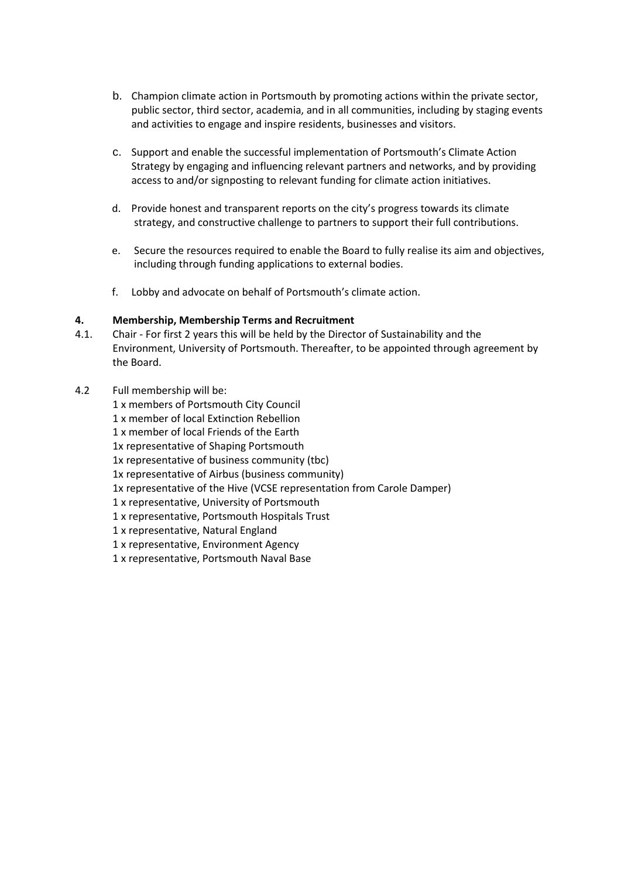- b. Champion climate action in Portsmouth by promoting actions within the private sector, public sector, third sector, academia, and in all communities, including by staging events and activities to engage and inspire residents, businesses and visitors.
- c. Support and enable the successful implementation of Portsmouth's Climate Action Strategy by engaging and influencing relevant partners and networks, and by providing access to and/or signposting to relevant funding for climate action initiatives.
- d. Provide honest and transparent reports on the city's progress towards its climate strategy, and constructive challenge to partners to support their full contributions.
- e. Secure the resources required to enable the Board to fully realise its aim and objectives, including through funding applications to external bodies.
- f. Lobby and advocate on behalf of Portsmouth's climate action.

#### **4. Membership, Membership Terms and Recruitment**

- 4.1. Chair For first 2 years this will be held by the Director of Sustainability and the Environment, University of Portsmouth. Thereafter, to be appointed through agreement by the Board.
- 4.2 Full membership will be:
	- 1 x members of Portsmouth City Council
	- 1 x member of local Extinction Rebellion
	- 1 x member of local Friends of the Earth
	- 1x representative of Shaping Portsmouth
	- 1x representative of business community (tbc)
	- 1x representative of Airbus (business community)
	- 1x representative of the Hive (VCSE representation from Carole Damper)
	- 1 x representative, University of Portsmouth
	- 1 x representative, Portsmouth Hospitals Trust
	- 1 x representative, Natural England
	- 1 x representative, Environment Agency
	- 1 x representative, Portsmouth Naval Base